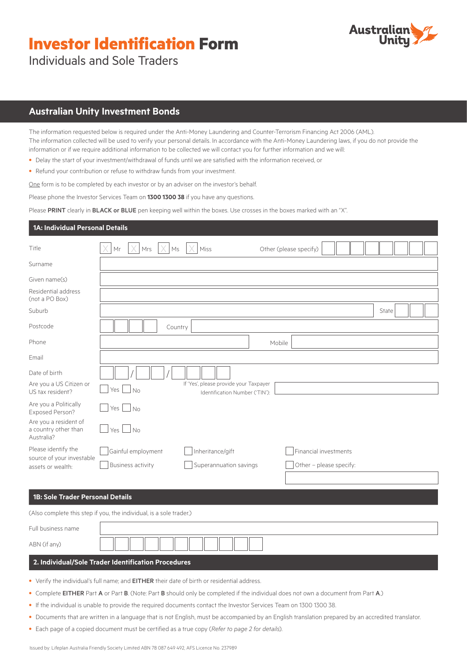# **Investor Identification Form**



Individuals and Sole Traders

# **Australian Unity Investment Bonds**

The information requested below is required under the Anti-Money Laundering and Counter-Terrorism Financing Act 2006 (AML). The information collected will be used to verify your personal details. In accordance with the Anti-Money Laundering laws, if you do not provide the information or if we require additional information to be collected we will contact you for further information and we will:

- Delay the start of your investment/withdrawal of funds until we are satisfied with the information received, or
- Refund your contribution or refuse to withdraw funds from your investment.

One form is to be completed by each investor or by an adviser on the investor's behalf.

Please phone the Investor Services Team on **1300 1300 38** if you have any questions.

Please PRINT clearly in BLACK or BLUE pen keeping well within the boxes. Use crosses in the boxes marked with an "X".

### **1A: Individual Personal Details**

| Title                                                       | Mr<br>Mrs                | Miss<br>Ms                                                               | Other (please specify) |                         |       |  |
|-------------------------------------------------------------|--------------------------|--------------------------------------------------------------------------|------------------------|-------------------------|-------|--|
| Surname                                                     |                          |                                                                          |                        |                         |       |  |
| Given name(s)                                               |                          |                                                                          |                        |                         |       |  |
| Residential address<br>(not a PO Box)                       |                          |                                                                          |                        |                         |       |  |
| Suburb                                                      |                          |                                                                          |                        |                         | State |  |
| Postcode                                                    |                          | Country                                                                  |                        |                         |       |  |
| Phone                                                       |                          |                                                                          | Mobile                 |                         |       |  |
| Email                                                       |                          |                                                                          |                        |                         |       |  |
| Date of birth                                               |                          |                                                                          |                        |                         |       |  |
| Are you a US Citizen or<br>US tax resident?                 | $Yes \mid \neg No$       | If 'Yes', please provide your Taxpayer<br>Identification Number ('TIN'): |                        |                         |       |  |
| Are you a Politically<br>Exposed Person?                    | Yes $\Box$ No            |                                                                          |                        |                         |       |  |
| Are you a resident of<br>a country other than<br>Australia? | Yes $\Box$ No            |                                                                          |                        |                         |       |  |
| Please identify the                                         | Gainful employment       | Inheritance/gift                                                         |                        | Financial investments   |       |  |
| source of your investable<br>assets or wealth:              | <b>Business activity</b> | Superannuation savings                                                   |                        | Other - please specify: |       |  |
|                                                             |                          |                                                                          |                        |                         |       |  |

#### **1B: Sole Trader Personal Details**

(Also complete this step if you, the individual, is a sole trader.)

| Full business name                                  |  |  |  |  |  |  |
|-----------------------------------------------------|--|--|--|--|--|--|
| ABN (if any)                                        |  |  |  |  |  |  |
| 2. Individual/Sole Trader Identification Procedures |  |  |  |  |  |  |

- Verify the individual's full name; and **EITHER** their date of birth or residential address.
- Complete EITHER Part A or Part B. (Note: Part B should only be completed if the individual does not own a document from Part A.)
- If the individual is unable to provide the required documents contact the Investor Services Team on 1300 1300 38.
- Documents that are written in a language that is not English, must be accompanied by an English translation prepared by an accredited translator.
- Each page of a copied document must be certified as a true copy (*Refer to page 2 for details*).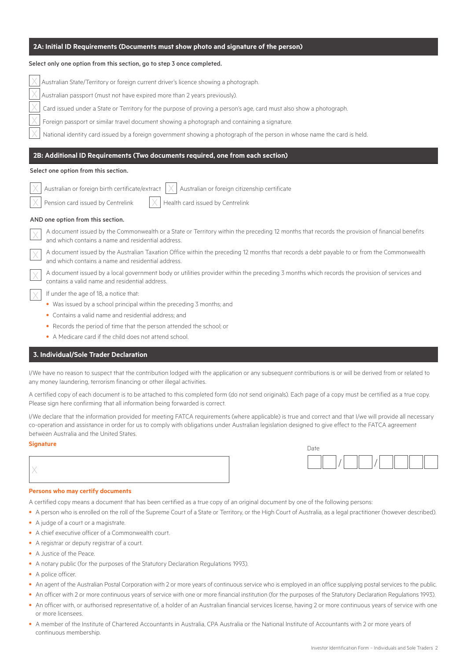| Select only one option from this section, go to step 3 once completed.                                                                                                                              |  |  |  |  |  |  |
|-----------------------------------------------------------------------------------------------------------------------------------------------------------------------------------------------------|--|--|--|--|--|--|
| Australian State/Territory or foreign current driver's licence showing a photograph.                                                                                                                |  |  |  |  |  |  |
| Australian passport (must not have expired more than 2 years previously).                                                                                                                           |  |  |  |  |  |  |
| Card issued under a State or Territory for the purpose of proving a person's age, card must also show a photograph.                                                                                 |  |  |  |  |  |  |
| Foreign passport or similar travel document showing a photograph and containing a signature.                                                                                                        |  |  |  |  |  |  |
| National identity card issued by a foreign government showing a photograph of the person in whose name the card is held.                                                                            |  |  |  |  |  |  |
| 2B: Additional ID Requirements (Two documents required, one from each section)                                                                                                                      |  |  |  |  |  |  |
| Select one option from this section.                                                                                                                                                                |  |  |  |  |  |  |
|                                                                                                                                                                                                     |  |  |  |  |  |  |
| Australian or foreign citizenship certificate<br>Australian or foreign birth certificate/extract                                                                                                    |  |  |  |  |  |  |
| Pension card issued by Centrelink<br>Health card issued by Centrelink                                                                                                                               |  |  |  |  |  |  |
| AND one option from this section.                                                                                                                                                                   |  |  |  |  |  |  |
| A document issued by the Commonwealth or a State or Territory within the preceding 12 months that records the provision of financial benefits<br>and which contains a name and residential address. |  |  |  |  |  |  |
| A document issued by the Australian Taxation Office within the preceding 12 months that records a debt payable to or from the Commonwealth<br>and which contains a name and residential address.    |  |  |  |  |  |  |
| A document issued by a local government body or utilities provider within the preceding 3 months which records the provision of services and<br>contains a valid name and residential address.      |  |  |  |  |  |  |
| If under the age of 18, a notice that:                                                                                                                                                              |  |  |  |  |  |  |
| • Was issued by a school principal within the preceding 3 months; and                                                                                                                               |  |  |  |  |  |  |
| • Contains a valid name and residential address; and                                                                                                                                                |  |  |  |  |  |  |
| • Records the period of time that the person attended the school; or                                                                                                                                |  |  |  |  |  |  |
| • A Medicare card if the child does not attend school.                                                                                                                                              |  |  |  |  |  |  |

**2A: Initial ID Requirements (Documents must show photo and signature of the person)**

### **3. Individual/Sole Trader Declaration**

I/We have no reason to suspect that the contribution lodged with the application or any subsequent contributions is or will be derived from or related to any money laundering, terrorism financing or other illegal activities.

A certified copy of each document is to be attached to this completed form (do not send originals). Each page of a copy must be certified as a true copy. Please sign here confirming that all information being forwarded is correct.

I/We declare that the information provided for meeting FATCA requirements (where applicable) is true and correct and that I/we will provide all necessary co-operation and assistance in order for us to comply with obligations under Australian legislation designed to give effect to the FATCA agreement between Australia and the United States.

# **Signature** Date





A certified copy means a document that has been certified as a true copy of an original document by one of the following persons:

- A person who is enrolled on the roll of the Supreme Court of a State or Territory, or the High Court of Australia, as a legal practitioner (however described).
- A judge of a court or a magistrate.
- A chief executive officer of a Commonwealth court.
- A registrar or deputy registrar of a court.
- A Justice of the Peace.
- A notary public (for the purposes of the Statutory Declaration Regulations 1993).
- A police officer.
- An agent of the Australian Postal Corporation with 2 or more years of continuous service who is employed in an office supplying postal services to the public.
- An officer with 2 or more continuous years of service with one or more financial institution (for the purposes of the Statutory Declaration Regulations 1993).
- An officer with, or authorised representative of, a holder of an Australian financial services license, having 2 or more continuous years of service with one or more licensees.
- A member of the Institute of Chartered Accountants in Australia, CPA Australia or the National Institute of Accountants with 2 or more years of continuous membership.